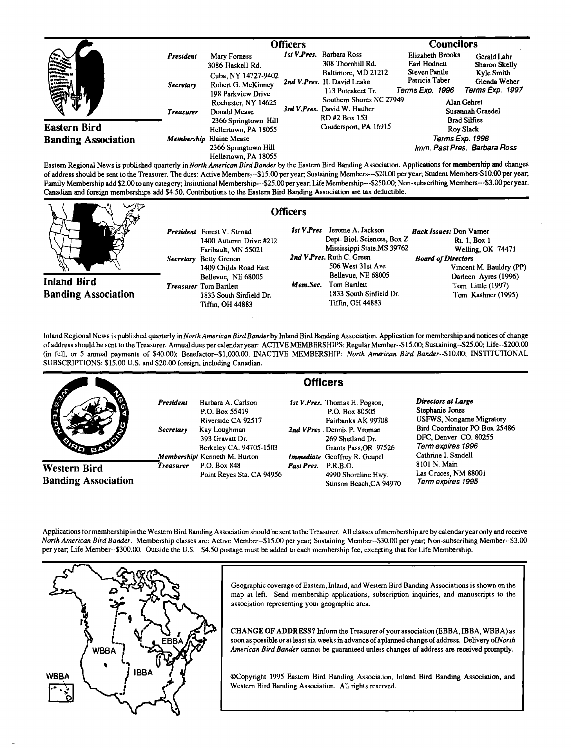|                            | <b>Officers</b>  |                                                                 |  |                                                                                                                                                                                                                                | <b>Councilors</b>                                  |                                                        |
|----------------------------|------------------|-----------------------------------------------------------------|--|--------------------------------------------------------------------------------------------------------------------------------------------------------------------------------------------------------------------------------|----------------------------------------------------|--------------------------------------------------------|
| <b>THE SEA</b>             | President        | Mary Forness<br>3086 Haskell Rd.                                |  | 1st V.Pres. Barbara Ross<br>308 Thornhill Rd.                                                                                                                                                                                  | Elizabeth Brooks<br>Earl Hodnett                   | Gerald Lahr<br>Sharon Skelly                           |
|                            | <b>Secretary</b> | Cuba, NY 14727-9402<br>Robert G. McKinney<br>198 Parkview Drive |  | Baltimore, MD 21212<br>2nd V.Pres. H. David Leake<br>113 Poteskeet Tr.                                                                                                                                                         | Steven Pantle<br>Patricia Taber<br>Terms Exp. 1996 | Kyle Smith<br>Glenda Weber<br>Terms Exp. 1997          |
|                            | <b>Treasurer</b> | Rochester, NY 14625<br>Donald Mease<br>2366 Springtown Hill     |  | Southern Shores NC 27949<br>3rd V.Pres. David W. Hauber<br>RD#2 Box 153                                                                                                                                                        |                                                    | Alan Gehret<br>Susannah Graedel<br><b>Brad Silfies</b> |
| Eastern Bird               |                  | Hellertown, PA 18055                                            |  | Coudersport, PA 16915                                                                                                                                                                                                          |                                                    | <b>Rov Slack</b>                                       |
| <b>Banding Association</b> |                  | Membership Elaine Mease                                         |  |                                                                                                                                                                                                                                | Terms Exp. 1998                                    |                                                        |
|                            |                  | 2366 Springtown Hill<br>Hellertown, PA 18055                    |  | when the contract of the contract of the contract of the contract of the contract of the contract of the contract of the contract of the contract of the contract of the contract of the contract of the contract of the contr |                                                    | Imm. Past Pres. Barbara Ross                           |

**Eastern Regional News is published qumefly inNorth American Bird Bander by the Eastern Bird Banding Association. Applications formembership and changes**  of address should be sent to the Treasurer. The dues: Active Members---\$15.00 per year, Sustaining Members---\$20.00 per year, Student Members-\$10.00 per year, Family Membership add \$2.00 to any category; Insitutional Membership---\$25.00 per year; Life Membership---\$250.00; Non-subscribing Members---\$3.00 per year. **Canadian and foreign memberships add \$4.50. Contributions to the Eastern Bird Banding Association are tax deductible.** 

**Officers** 

**Inland Bird Banding Association**  **President Forest V. Stmad 1400 Autumn Drive g212 Faribault, MN 55021 Secretary Betty Grenon 1409 Childs Road East Bellevue, NE 68005 Treasurer** Tom Bartlett **1833 South Sinfield Dr. Tiffin, OH 44883** 

|                             | 1st V.Pres Jerome A. Jackson | Back Issues: Don Vamer    |  |  |
|-----------------------------|------------------------------|---------------------------|--|--|
| Dept. Biol. Sciences, Box Z |                              | Rt. 1, Box 1              |  |  |
|                             | Mississippi State, MS 39762  | Welling, OK 74471         |  |  |
|                             | 2nd V.Pres. Ruth C. Green    | <b>Board of Directors</b> |  |  |
|                             | 506 West 31st Ave            | Vincent M. Bauldry (PP)   |  |  |
|                             | Bellevue, NE 68005           | Darleen Ayres (1996)      |  |  |
|                             | Mem.Sec. Tom Bartlett        | Tom Little (1997)         |  |  |
|                             | 1833 South Sinfield Dr.      | Tom Kashner (1995)        |  |  |
|                             | Tiffin. OH 44883             |                           |  |  |
|                             |                              |                           |  |  |

**Inland Regional News is published quarterly in North American Bird Banter by Inland Bird Banding Association. Application for membership and notices of change of address should be sent •o the Treasurer. Annual dues per calendar year: ACTIVE MEMBERSHIPS: Regular Member--\$15.00; Sustaining--S25.00; Life--S200.00 (in full, or 5 annual payments of \$40.00); Benefactor--S1,000.00. INACTIVE MEMBERSHIP: North American Bird Bander--S10.00; INSTITUTIONAL SUBSCRIPTIONS: \$15.00 U.S. and \$20.00 foreign, including Canadian.** 

|                                            |                        | <b>Officers</b>                                                                                                                                           |                     |                                                                                                                                                                                   |                                                                                                                                                                         |  |
|--------------------------------------------|------------------------|-----------------------------------------------------------------------------------------------------------------------------------------------------------|---------------------|-----------------------------------------------------------------------------------------------------------------------------------------------------------------------------------|-------------------------------------------------------------------------------------------------------------------------------------------------------------------------|--|
| <b>SOLD</b>                                | President<br>Secretary | Barbara A. Carlson<br>P.O. Box 55419<br>Riverside CA 92517<br>Kay Loughman<br>393 Gravatt Dr.<br>Berkeley CA. 94705-1503<br>Membership/ Kenneth M. Burton |                     | 1st V.Pres. Thomas H. Pogson,<br>P.O. Box 80505<br>Fairbanks AK 99708<br>2nd VPres. Dennis P. Vroman<br>269 Shetland Dr.<br>Grants Pass, OR 97526<br>Immediate Geoffrey R. Geupel | Directors at Large<br>Stephanie Jones<br>USFWS, Nongame Migratory<br>Bird Coordinator PO Box 25486<br>DFC, Denver CO. 80255<br>Term expires 1996<br>Cathrine I. Sandell |  |
| Western Bird<br><b>Banding Association</b> | Treasurer              | P.O. Box 848<br>Point Reves Sta. CA 94956                                                                                                                 | Past Pres. P.R.B.O. | 4990 Shoreline Hwy.<br>Stinson Beach, CA 94970                                                                                                                                    | 8101 N. Main<br>Las Cruces, NM 88001<br>Term expires 1995                                                                                                               |  |

**Applications formembershipinthe Westem Bird Banding Association should be sent tothe Treasurer. All classes ofmembership are by calendar year only and receive North American Bird Banter. Membership classes are: Active Member--S15.00 per year, Sustaining Member--S30.00 per year, Non-subscribing Member--S3.00 per year, Life Member--S300.00. Outside the U.S. - \$4.50 postage must be added to each membership fee, excepting that for Life Membership.** 



Geographic coverage of Eastern, Inland, and Western Bird Banding Associations is shown on the map at left. Send membership applications, subscription inquiries, and manuscripts to the **association representing your geographic area.** 

**CHANGE OF ADDR ESS? Inform the Treasurer of your association (EBBA, IBBA, WBBA) as soon as possible or at least six weeks in advance of a planned change of address. Delivery of North American Bird Banter cannot be guaranteed unless changes of address are received promptly.** 

**¸Copyright 1995 Eastern Bird Banding Association, Inland Bird Banding Association, and Western Bird Banding Association. All fights reserved.**